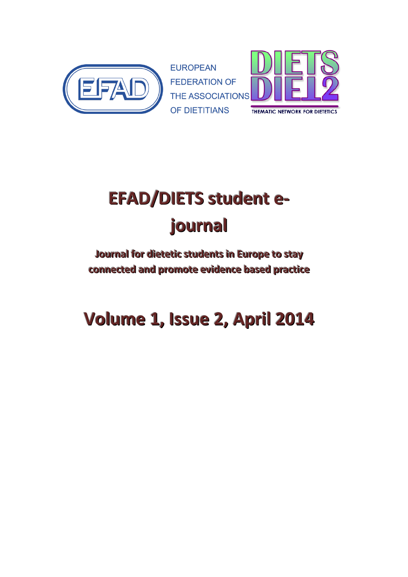



# **EFAD/DIETS** student e**journall**

# **Journal l for di i eteti i c students i in Europe to stay connected and promote evi idence based practi i ce**

# **Vollume 1, IIssue 2, Apriill 2014**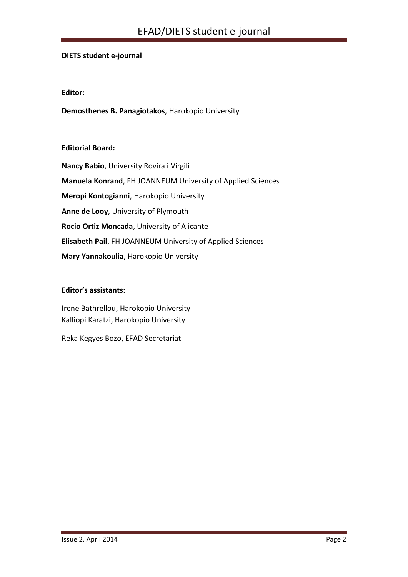#### **DIETS student e-journal**

#### **Editor:**

**Demosthenes B. Panagiotakos**, Harokopio University

#### **Editorial Board:**

**Nancy Babio**, University Rovira i Virgili **Manuela Konrand**, FH JOANNEUM University of Applied Sciences **Meropi Kontogianni**, Harokopio University **Anne de Looy**, University of Plymouth **Rocio Ortiz Moncada**, University of Alicante **Elisabeth Pail**, FH JOANNEUM University of Applied Sciences **Mary Yannakoulia**, Harokopio University

#### **Editor's assistants:**

Irene Bathrellou, Harokopio University Kalliopi Karatzi, Harokopio University

Reka Kegyes Bozo, EFAD Secretariat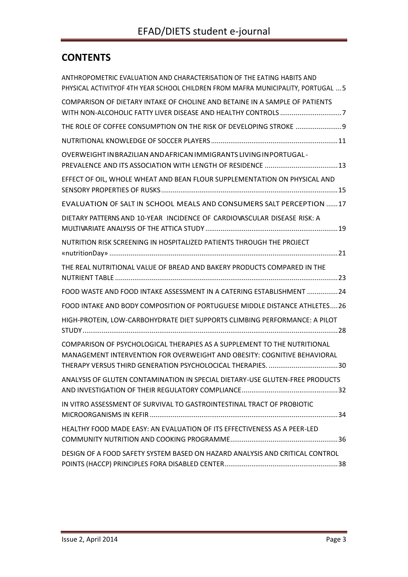# **CONTENTS**

| ANTHROPOMETRIC EVALUATION AND CHARACTERISATION OF THE EATING HABITS AND<br>PHYSICAL ACTIVITYOF 4TH YEAR SCHOOL CHILDREN FROM MAFRA MUNICIPALITY, PORTUGAL  5 |
|--------------------------------------------------------------------------------------------------------------------------------------------------------------|
| COMPARISON OF DIETARY INTAKE OF CHOLINE AND BETAINE IN A SAMPLE OF PATIENTS                                                                                  |
| THE ROLE OF COFFEE CONSUMPTION ON THE RISK OF DEVELOPING STROKE  9                                                                                           |
|                                                                                                                                                              |
| OVERWEIGHT IN BRAZILIAN AND AFRICAN IMMIGRANTS LIVING IN PORTUGAL -                                                                                          |
| EFFECT OF OIL, WHOLE WHEAT AND BEAN FLOUR SUPPLEMENTATION ON PHYSICAL AND                                                                                    |
| EVALUATION OF SALT IN SCHOOL MEALS AND CONSUMERS SALT PERCEPTION  17                                                                                         |
| DIETARY PATTERNS AND 10-YEAR INCIDENCE OF CARDIOVASCULAR DISEASE RISK: A                                                                                     |
| NUTRITION RISK SCREENING IN HOSPITALIZED PATIENTS THROUGH THE PROJECT                                                                                        |
| THE REAL NUTRITIONAL VALUE OF BREAD AND BAKERY PRODUCTS COMPARED IN THE                                                                                      |
| FOOD WASTE AND FOOD INTAKE ASSESSMENT IN A CATERING ESTABLISHMENT 24                                                                                         |
| FOOD INTAKE AND BODY COMPOSITION OF PORTUGUESE MIDDLE DISTANCE ATHLETES26                                                                                    |
| HIGH-PROTEIN, LOW-CARBOHYDRATE DIET SUPPORTS CLIMBING PERFORMANCE: A PILOT                                                                                   |
| COMPARISON OF PSYCHOLOGICAL THERAPIES AS A SUPPLEMENT TO THE NUTRITIONAL<br>MANAGEMENT INTERVENTION FOR OVERWEIGHT AND OBESITY: COGNITIVE BEHAVIORAL         |
| ANALYSIS OF GLUTEN CONTAMINATION IN SPECIAL DIETARY-USE GLUTEN-FREE PRODUCTS                                                                                 |
| IN VITRO ASSESSMENT OF SURVIVAL TO GASTROINTESTINAL TRACT OF PROBIOTIC                                                                                       |
| HEALTHY FOOD MADE EASY: AN EVALUATION OF ITS EFFECTIVENESS AS A PEER-LED                                                                                     |
| DESIGN OF A FOOD SAFETY SYSTEM BASED ON HAZARD ANALYSIS AND CRITICAL CONTROL                                                                                 |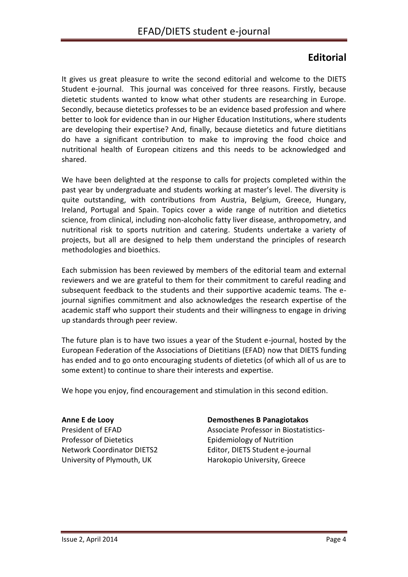# **Editorial**

It gives us great pleasure to write the second editorial and welcome to the DIETS Student e-journal. This journal was conceived for three reasons. Firstly, because dietetic students wanted to know what other students are researching in Europe. Secondly, because dietetics professes to be an evidence based profession and where better to look for evidence than in our Higher Education Institutions, where students are developing their expertise? And, finally, because dietetics and future dietitians do have a significant contribution to make to improving the food choice and nutritional health of European citizens and this needs to be acknowledged and shared.

We have been delighted at the response to calls for projects completed within the past year by undergraduate and students working at master's level. The diversity is quite outstanding, with contributions from Austria, Belgium, Greece, Hungary, Ireland, Portugal and Spain. Topics cover a wide range of nutrition and dietetics science, from clinical, including non-alcoholic fatty liver disease, anthropometry, and nutritional risk to sports nutrition and catering. Students undertake a variety of projects, but all are designed to help them understand the principles of research methodologies and bioethics.

Each submission has been reviewed by members of the editorial team and external reviewers and we are grateful to them for their commitment to careful reading and subsequent feedback to the students and their supportive academic teams. The ejournal signifies commitment and also acknowledges the research expertise of the academic staff who support their students and their willingness to engage in driving up standards through peer review.

The future plan is to have two issues a year of the Student e-journal, hosted by the European Federation of the Associations of Dietitians (EFAD) now that DIETS funding has ended and to go onto encouraging students of dietetics (of which all of us are to some extent) to continue to share their interests and expertise.

We hope you enjoy, find encouragement and stimulation in this second edition.

**Anne E de Looy** President of EFAD Professor of Dietetics Network Coordinator DIETS2 University of Plymouth, UK

#### **Demosthenes B Panagiotakos**

Associate Professor in Biostatistics-Epidemiology of Nutrition Editor, DIETS Student e-journal Harokopio University, Greece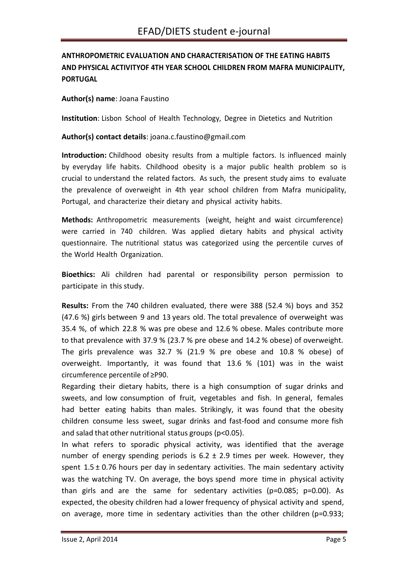# <span id="page-4-0"></span>**ANTHROPOMETRIC EVALUATION AND CHARACTERISATION OF THE EATING HABITS AND PHYSICAL ACTIVITYOF 4TH YEAR SCHOOL CHILDREN FROM MAFRA MUNICIPALITY, PORTUGAL**

## **Author(s) name**: Joana Faustino

**Institution**: Lisbon School of Health Technology, Degree in Dietetics and Nutrition

# **Author(s) contact details**: [joana.c.faustino@gmail.com](mailto:joana.c.faustino@gmail.com)

**Introduction:** Childhood obesity results from a multiple factors. Is influenced mainly by everyday life habits. Childhood obesity is a major public health problem so is crucial to understand the related factors. As such, the present study aims to evaluate the prevalence of overweight in 4th year school children from Mafra municipality, Portugal, and characterize their dietary and physical activity habits.

**Methods:** Anthropometric measurements (weight, height and waist circumference) were carried in 740 children. Was applied dietary habits and physical activity questionnaire. The nutritional status was categorized using the percentile curves of the World Health Organization.

**Bioethics:** Ali children had parental or responsibility person permission to participate in this study.

**Results:** From the 740 children evaluated, there were 388 (52.4 %) boys and 352 (47.6 %) girls between 9 and 13 years old. The total prevalence of overweight was 35.4 %, of which 22.8 % was pre obese and 12.6 % obese. Males contribute more to that prevalence with 37.9 % (23.7 % pre obese and 14.2 % obese) of overweight. The girls prevalence was 32.7 % (21.9 % pre obese and 10.8 % obese) of overweight. Importantly, it was found that 13.6 % (101) was in the waist circumference percentile of ≥P90.

Regarding their dietary habits, there is a high consumption of sugar drinks and sweets, and low consumption of fruit, vegetables and fish. In general, females had better eating habits than males. Strikingly, it was found that the obesity children consume less sweet, sugar drinks and fast-food and consume more fish and salad that other nutritional status groups (p<0.05).

In what refers to sporadic physical activity, was identified that the average number of energy spending periods is  $6.2 \pm 2.9$  times per week. However, they spent  $1.5 \pm 0.76$  hours per day in sedentary activities. The main sedentary activity was the watching TV. On average, the boys spend more time in physical activity than girls and are the same for sedentary activities (p=0.085; p=0.00). As expected, the obesity children had a lower frequency of physical activity and spend, on average, more time in sedentary activities than the other children (p=0.933;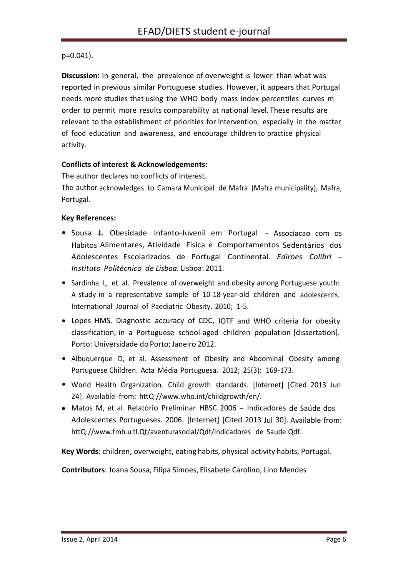# p=0.041).

**Discussion:** In general, the prevalence of overweight is lower than what was reported in previous similar Portuguese studies. However, it appears that Portugal needs more studies that using the WHO body mass index percentiles curves m order to permit more results comparability at national level. These results are relevant to the establishment of priorities for intervention, especially in the matter of food education and awareness, and encourage children to practice physical activity.

# **Conflicts of interest & Acknowledgements:**

The author declares no conflicts of interest.

The author acknowledges to Camara Municipal de Mafra (Mafra municipality), Mafra, Portugal.

# **Key References:**

- Sousa J. Obesidade Infanto-Juvenil em Portugal Associacao com os Habitos Alimentares, Atividade Física e Comportamentos Sedentários dos Adolescentes Escolarizados de Portugal Continental. *Ediroes Colibri* - *Instituto Politécnico de Lisboa.* Lisboa: 2011.
- Sardinha L, et al. Prevalence of overweight and obesity among Portuguese youth: A study in a representative sample of 10-18-year-old children and adolescents. International Journal of Paediatric Obesity. 2010; 1-5.
- Lopes HMS. Diagnostic accuracy of CDC, IOTF and WHO criteria for obesity classification, in a Portuguese school-aged children population [dissertation]. Porto: Universidade do Porto; Janeiro 2012.
- Albuquerque D, et al. Assessment of Obesity and Abdominal Obesity among Portuguese Children. Acta Média Portuguesa. 2012; 25(3): 169-173.
- World Health Organization. Child growth standards. [Internet] [Cited <sup>2013</sup> Jun 24]. Available from: [httQ://www.who.int/childgrowth/en/.](http://www.who.int/childgrowth/en/)
- Matos M, et al. Relatório Preliminar HBSC <sup>2006</sup> Indicadores de Saúde dos Adolescentes Portugueses. 2006. [Internet] [Cited 2013 Jul 30]. Available from: [httQ://www.fmh.u](http://www.fmh.u/) tl.Qt/aventurasocial/Qdf/Indicadores de Saude.Qdf.

**Key Words**: children, overweight, eating habits, physical activity habits, Portugal.

**Contributors**: Joana Sousa, Filipa Simoes, Elisabete Carolino, Lino Mendes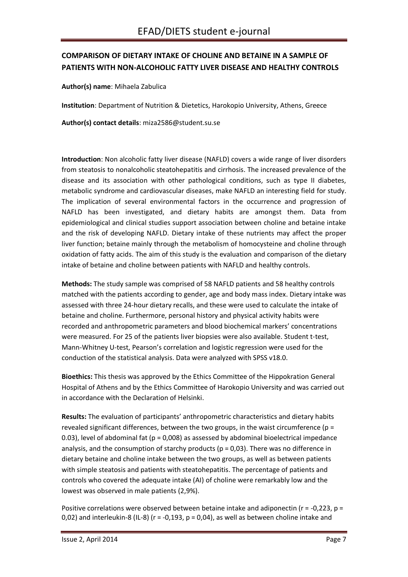# <span id="page-6-0"></span>**COMPARISON OF DIETARY INTAKE OF CHOLINE AND BETAINE IN A SAMPLE OF PATIENTS WITH NON-ALCOHOLIC FATTY LIVER DISEASE AND HEALTHY CONTROLS**

**Author(s) name**: Mihaela Zabulica

**Institution**: Department of Nutrition & Dietetics, Harokopio University, Athens, Greece

**Author(s) contact details**: miza2586@student.su.se

**Introduction**: Non alcoholic fatty liver disease (NAFLD) covers a wide range of liver disorders from steatosis to nonalcoholic steatohepatitis and cirrhosis. The increased prevalence of the disease and its association with other pathological conditions, such as type II diabetes, metabolic syndrome and cardiovascular diseases, make NAFLD an interesting field for study. The implication of several environmental factors in the occurrence and progression of NAFLD has been investigated, and dietary habits are amongst them. Data from epidemiological and clinical studies support association between choline and betaine intake and the risk of developing NAFLD. Dietary intake of these nutrients may affect the proper liver function; betaine mainly through the metabolism of homocysteine and choline through oxidation of fatty acids. The aim of this study is the evaluation and comparison of the dietary intake of betaine and choline between patients with NAFLD and healthy controls.

**Methods:** The study sample was comprised of 58 NAFLD patients and 58 healthy controls matched with the patients according to gender, age and body mass index. Dietary intake was assessed with three 24-hour dietary recalls, and these were used to calculate the intake of betaine and choline. Furthermore, personal history and physical activity habits were recorded and anthropometric parameters and blood biochemical markers' concentrations were measured. For 25 of the patients liver biopsies were also available. Student t-test, Mann-Whitney U-test, Pearson's correlation and logistic regression were used for the conduction of the statistical analysis. Data were analyzed with SPSS v18.0.

**Bioethics:** This thesis was approved by the Ethics Committee of the Hippokration General Hospital of Athens and by the Ethics Committee of Harokopio University and was carried out in accordance with the Declaration of Helsinki.

**Results:** The evaluation of participants' anthropometric characteristics and dietary habits revealed significant differences, between the two groups, in the waist circumference (p = 0.03), level of abdominal fat ( $p = 0.008$ ) as assessed by abdominal bioelectrical impedance analysis, and the consumption of starchy products ( $p = 0.03$ ). There was no difference in dietary betaine and choline intake between the two groups, as well as between patients with simple steatosis and patients with steatohepatitis. The percentage of patients and controls who covered the adequate intake (AI) of choline were remarkably low and the lowest was observed in male patients (2,9%).

Positive correlations were observed between betaine intake and adiponectin ( $r = -0.223$ ,  $p =$ 0,02) and interleukin-8 (IL-8) ( $r = -0.193$ ,  $p = 0.04$ ), as well as between choline intake and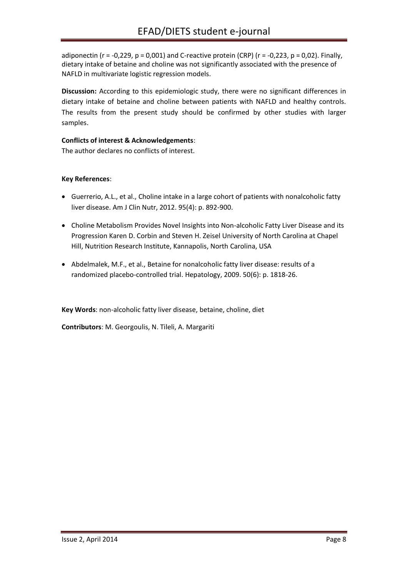adiponectin ( $r = -0.229$ ,  $p = 0.001$ ) and C-reactive protein (CRP) ( $r = -0.223$ ,  $p = 0.02$ ). Finally, dietary intake of betaine and choline was not significantly associated with the presence of NAFLD in multivariate logistic regression models.

**Discussion:** According to this epidemiologic study, there were no significant differences in dietary intake of betaine and choline between patients with NAFLD and healthy controls. The results from the present study should be confirmed by other studies with larger samples.

#### **Conflicts of interest & Acknowledgements**:

The author declares no conflicts of interest.

#### **Key References**:

- Guerrerio, A.L., et al., Choline intake in a large cohort of patients with nonalcoholic fatty liver disease. Am J Clin Nutr, 2012. 95(4): p. 892-900.
- Choline Metabolism Provides Novel Insights into Non-alcoholic Fatty Liver Disease and its Progression Karen D. Corbin and Steven H. Zeisel University of North Carolina at Chapel Hill, Nutrition Research Institute, Kannapolis, North Carolina, USA
- Abdelmalek, M.F., et al., Betaine for nonalcoholic fatty liver disease: results of a randomized placebo-controlled trial. Hepatology, 2009. 50(6): p. 1818-26.

**Key Words**: non-alcoholic fatty liver disease, betaine, choline, diet

**Contributors**: M. Georgoulis, N. Tileli, A. Margariti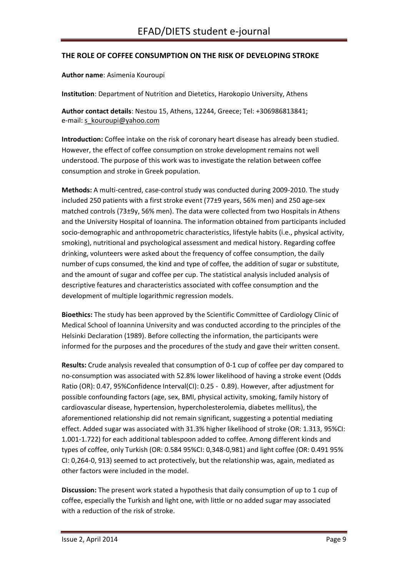#### <span id="page-8-0"></span>**THE ROLE OF COFFEE CONSUMPTION ON THE RISK OF DEVELOPING STROKE**

**Author name**: Asimenia Kouroupi

**Institution**: Department of Nutrition and Dietetics, Harokopio University, Athens

**Author contact details**: Nestou 15, Athens, 12244, Greece; Tel: +306986813841; e-mail: [s\\_kouroupi@yahoo.com](mailto:s_kouroupi@yahoo.com)

**Introduction:** Coffee intake on the risk of coronary heart disease has already been studied. However, the effect of coffee consumption on stroke development remains not well understood. The purpose of this work was to investigate the relation between coffee consumption and stroke in Greek population.

**Methods:** A multi-centred, case-control study was conducted during 2009-2010. The study included 250 patients with a first stroke event (77±9 years, 56% men) and 250 age-sex matched controls (73±9y, 56% men). The data were collected from two Hospitals in Athens and the University Hospital of Ioannina. The information obtained from participants included socio-demographic and anthropometric characteristics, lifestyle habits (i.e., physical activity, smoking), nutritional and psychological assessment and medical history. Regarding coffee drinking, volunteers were asked about the frequency of coffee consumption, the daily number of cups consumed, the kind and type of coffee, the addition of sugar or substitute, and the amount of sugar and coffee per cup. The statistical analysis included analysis of descriptive features and characteristics associated with coffee consumption and the development of multiple logarithmic regression models.

**Bioethics:** The study has been approved by the Scientific Committee of Cardiology Clinic of Medical School of Ioannina University and was conducted according to the principles of the Helsinki Declaration (1989). Before collecting the information, the participants were informed for the purposes and the procedures of the study and gave their written consent.

**Results:** Crude analysis revealed that consumption of 0-1 cup of coffee per day compared to no-consumption was associated with 52.8% lower likelihood of having a stroke event (Odds Ratio (OR): 0.47, 95%Confidence Interval(CI): 0.25 - 0.89). However, after adjustment for possible confounding factors (age, sex, BMI, physical activity, smoking, family history of cardiovascular disease, hypertension, hypercholesterolemia, diabetes mellitus), the aforementioned relationship did not remain significant, suggesting a potential mediating effect. Added sugar was associated with 31.3% higher likelihood of stroke (OR: 1.313, 95%CI: 1.001-1.722) for each additional tablespoon added to coffee. Among different kinds and types of coffee, only Turkish (OR: 0.584 95%CI: 0,348-0,981) and light coffee (OR: 0.491 95% CI: 0,264-0, 913) seemed to act protectively, but the relationship was, again, mediated as other factors were included in the model.

**Discussion:** The present work stated a hypothesis that daily consumption of up to 1 cup of coffee, especially the Turkish and light one, with little or no added sugar may associated with a reduction of the risk of stroke.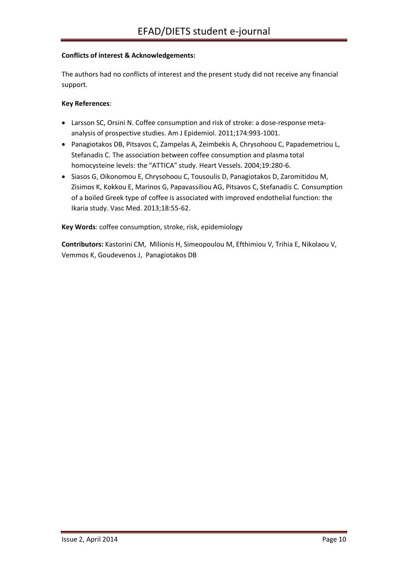#### **Conflicts of interest & Acknowledgements:**

The authors had no conflicts of interest and the present study did not receive any financial support.

#### **Key References**:

- Larsson SC, Orsini N. Coffee consumption and risk of stroke: a dose-response metaanalysis of prospective studies. Am J Epidemiol. 2011;174:993-1001.
- Panagiotakos DB, Pitsavos C, Zampelas A, Zeimbekis A, Chrysohoou C, Papademetriou L, Stefanadis C. The association between coffee consumption and plasma total homocysteine levels: the "ATTICA" study. Heart Vessels. 2004;19:280-6.
- Siasos G, Oikonomou E, Chrysohoou C, Tousoulis D, Panagiotakos D, Zaromitidou M, Zisimos K, Kokkou E, Marinos G, Papavassiliou AG, Pitsavos C, Stefanadis C. Consumption of a boiled Greek type of coffee is associated with improved endothelial function: the Ikaria study. Vasc Med. 2013;18:55-62.

**Key Words**: coffee consumption, stroke, risk, epidemiology

**Contributors:** Kastorini CM, Milionis H, Simeopoulou M, Efthimiou V, Trihia E, Nikolaou V, Vemmos K, Goudevenos J, Panagiotakos DB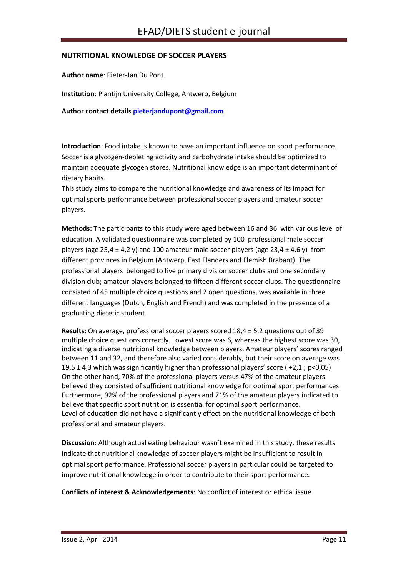#### <span id="page-10-0"></span>**NUTRITIONAL KNOWLEDGE OF SOCCER PLAYERS**

**Author name**: Pieter-Jan Du Pont

**Institution**: Plantijn University College, Antwerp, Belgium

**Author contact details [pieterjandupont@gmail.com](mailto:pieterjandupont@gmail.com)**

**Introduction**: Food intake is known to have an important influence on sport performance. Soccer is a glycogen-depleting activity and carbohydrate intake should be optimized to maintain adequate glycogen stores. Nutritional knowledge is an important determinant of dietary habits.

This study aims to compare the nutritional knowledge and awareness of its impact for optimal sports performance between professional soccer players and amateur soccer players.

**Methods:** The participants to this study were aged between 16 and 36 with various level of education. A validated questionnaire was completed by 100 professional male soccer players (age 25,4  $\pm$  4,2 y) and 100 amateur male soccer players (age 23,4  $\pm$  4,6 y) from different provinces in Belgium (Antwerp, East Flanders and Flemish Brabant). The professional players belonged to five primary division soccer clubs and one secondary division club; amateur players belonged to fifteen different soccer clubs. The questionnaire consisted of 45 multiple choice questions and 2 open questions, was available in three different languages (Dutch, English and French) and was completed in the presence of a graduating dietetic student.

**Results:** On average, professional soccer players scored 18,4 ± 5,2 questions out of 39 multiple choice questions correctly. Lowest score was 6, whereas the highest score was 30, indicating a diverse nutritional knowledge between players. Amateur players' scores ranged between 11 and 32, and therefore also varied considerably, but their score on average was 19,5  $\pm$  4,3 which was significantly higher than professional players' score (+2,1; p<0,05) On the other hand, 70% of the professional players versus 47% of the amateur players believed they consisted of sufficient nutritional knowledge for optimal sport performances. Furthermore, 92% of the professional players and 71% of the amateur players indicated to believe that specific sport nutrition is essential for optimal sport performance. Level of education did not have a significantly effect on the nutritional knowledge of both professional and amateur players.

**Discussion:** Although actual eating behaviour wasn't examined in this study, these results indicate that nutritional knowledge of soccer players might be insufficient to result in optimal sport performance. Professional soccer players in particular could be targeted to improve nutritional knowledge in order to contribute to their sport performance.

**Conflicts of interest & Acknowledgements**: No conflict of interest or ethical issue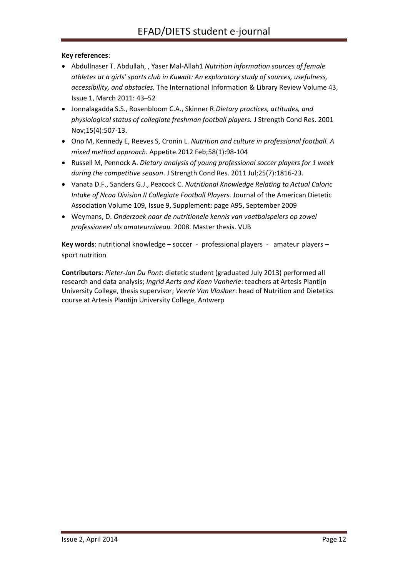#### **Key references**:

- Abdullnaser T. Abdullah, , Yaser Mal-Allah1 *Nutrition information sources of female athletes at a girls' sports club in Kuwait: An exploratory study of sources, usefulness, accessibility, and obstacles.* The International Information & Library Review Volume 43, Issue 1, March 2011: 43–52
- Jonnalagadda S.S., Rosenbloom C.A., Skinner R.*Dietary practices, attitudes, and physiological status of collegiate freshman football players.* J Strength Cond Res. 2001 Nov;15(4):507-13.
- Ono M, Kennedy E, Reeves S, Cronin L. *Nutrition and culture in professional football. A mixed method approach.* Appetite.2012 Feb;58(1):98-104
- Russell M, Pennock A. *Dietary analysis of young professional soccer players for 1 week during the competitive season*. J Strength Cond Res. 2011 Jul;25(7):1816-23.
- Vanata D.F., Sanders G.J., Peacock C. *Nutritional Knowledge Relating to Actual Caloric Intake of Ncaa Division II Collegiate Football Players.* Journal of the American Dietetic Association Volume 109, Issue 9, Supplement: page A95, September 2009
- Weymans, D. *Onderzoek naar de nutritionele kennis van voetbalspelers op zowel professioneel als amateurniveau.* 2008. Master thesis. VUB

**Key words**: nutritional knowledge – soccer - professional players - amateur players – sport nutrition

**Contributors**: *Pieter-Jan Du Pont*: dietetic student (graduated July 2013) performed all research and data analysis; *Ingrid Aerts and Koen Vanherle*: teachers at Artesis Plantijn University College, thesis supervisor; *Veerle Van Vlaslaer*: head of Nutrition and Dietetics course at Artesis Plantijn University College, Antwerp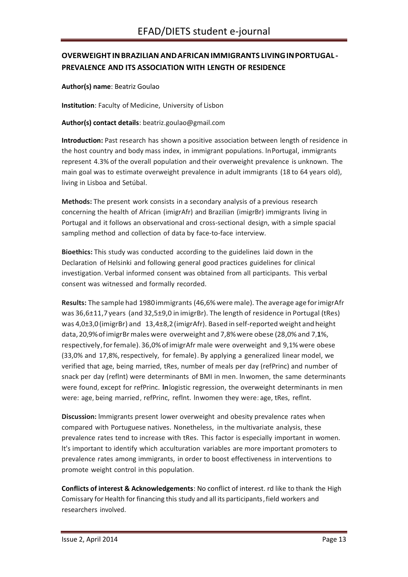# <span id="page-12-0"></span>**OVERWEIGHT INBRAZILIAN ANDAFRICANIMMIGRANTS LIVINGINPORTUGAL - PREVALENCE AND ITS ASSOCIATION WITH LENGTH OF RESIDENCE**

**Author(s) name**: Beatriz Goulao

**Institution**: Faculty of Medicine, University of Lisbon

#### **Author(s) contact details**[: beatriz.goulao@gmail.com](mailto:beatriz.goulao@gmail.com)

**Introduction:** Past research has shown a positive association between length of residence in the host country and body mass index, in immigrant populations. lnPortugal, immigrants represent 4.3% of the overall population and their overweight prevalence is unknown. The main goal was to estimate overweight prevalence in adult immigrants (18 to 64 years old), living in Lisboa and Setúbal.

**Methods:** The present work consists in a secondary analysis of a previous research concerning the health of African (imigrAfr) and Brazilian (imigrBr) immigrants living in Portugal and it follows an observational and cross-sectional design, with a simple spacial sampling method and collection of data by face-to-face interview.

**Bioethics:** This study was conducted according to the guidelines laid down in the Declaration of Helsinki and following general good practices guidelines for clinical investigation. Verbal informed consent was obtained from all participants. This verbal consent was witnessed and formally recorded.

**Results:** The sample had 1980immigrants (46,6%weremale). The average age forimigrAfr was 36,6±11,7years (and 32,5±9,0 in imigrBr). The length of residence in Portugal (tRes) was 4,0±3,0(imigrBr) and 13,4±8,2(imigrAfr). Based inself-reported weight andheight data,20,9%ofimigrBrmales were overweight and 7,8%were obese (28,0% and 7,**1**%, respectively,forfemale).36,0%ofimigrAfr male were overweight and 9,1% were obese (33,0% and 17,8%, respectively, for female). By applying a generalized linear model, we verified that age, being married, tRes, number of meals per day (refPrinc) and number of snack per day (reflnt) were determinants of BMI in men. lnwomen, the same determinants were found, except for refPrinc. **ln**logistic regression, the overweight determinants in men were: age, being married, refPrinc, reflnt. lnwomen they were: age, tRes, reflnt.

**Discussion:** lmmigrants present lower overweight and obesity prevalence rates when compared with Portuguese natives. Nonetheless, in the multivariate analysis, these prevalence rates tend to increase with tRes. This factor is especially important in women. lt's important to identify which acculturation variables are more important promoters to prevalence rates among immigrants, in order to boost effectiveness in interventions to promote weight control in this population.

**Conflicts of interest & Acknowledgements**: No conflict of interest. rd like to thank the High Comissary for Health for financing this study and all its participants, field workers and researchers involved.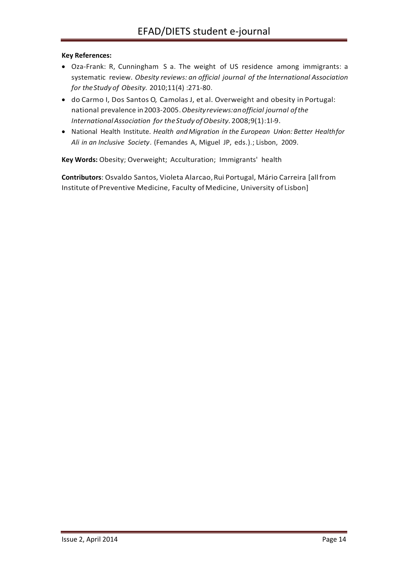#### **Key References:**

- Oza-Frank: R, Cunningham S a. The weight of US residence among immigrants: a systematic review. *Obesity reviews: an official journal of the lnternational Association for theStudy of Obesity.* 2010;11(4) :271-80.
- do Carmo I, Dos Santos O, Camolas J, et al. Overweight and obesity in Portugal: national prevalence in2003-2005.*Obesityreviews:anofficial journal ofthe InternationalAssociation for theStudy ofObesity.*2008;9(1):1l-9.
- National Health Institute. *Health andMigration ín the European Union: Better Healthfor Ali in an Inclusive Society.* (Femandes A, Miguel JP, eds.).; Lisbon, 2009.

**Key Words:** Obesity; Overweight; Acculturation; Immigrants' health

**Contributors**: Osvaldo Santos, Violeta Alarcao,Rui Portugal, Mário Carreira [allfrom Institute of Preventive Medicine, Faculty of Medicine, University of Lisbon]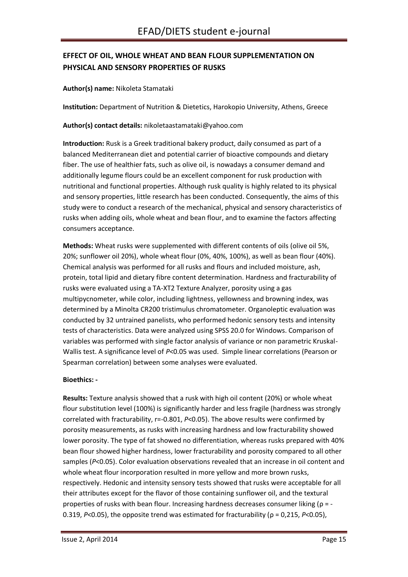# <span id="page-14-0"></span>**EFFECT OF OIL, WHOLE WHEAT AND BEAN FLOUR SUPPLEMENTATION ON PHYSICAL AND SENSORY PROPERTIES OF RUSKS**

#### **Author(s) name:** Nikoleta Stamataki

**Institution:** Department of Nutrition & Dietetics, Harokopio University, Athens, Greece

**Author(s) contact details:** nikoletaastamataki@yahoo.com

**Introduction:** Rusk is a Greek traditional bakery product, daily consumed as part of a balanced Mediterranean diet and potential carrier of bioactive compounds and dietary fiber. The use of healthier fats, such as olive oil, is nowadays a consumer demand and additionally legume flours could be an excellent component for rusk production with nutritional and functional properties. Although rusk quality is highly related to its physical and sensory properties, little research has been conducted. Consequently, the aims of this study were to conduct a research of the mechanical, physical and sensory characteristics of rusks when adding oils, whole wheat and bean flour, and to examine the factors affecting consumers acceptance.

**Methods:** Wheat rusks were supplemented with different contents of oils (olive oil 5%, 20%; sunflower oil 20%), whole wheat flour (0%, 40%, 100%), as well as bean flour (40%). Chemical analysis was performed for all rusks and flours and included moisture, ash, protein, total lipid and dietary fibre content determination. Hardness and fracturability of rusks were evaluated using a TA-XT2 Texture Analyzer, porosity using a gas multipycnometer, while color, including lightness, yellowness and browning index, was determined by a Minolta CR200 tristimulus chromatometer. Organoleptic evaluation was conducted by 32 untrained panelists, who performed hedonic sensory tests and intensity tests of characteristics. Data were analyzed using SPSS 20.0 for Windows. Comparison of variables was performed with single factor analysis of variance or non parametric Kruskal-Wallis test. A significance level of *P*<0.05 was used. Simple linear correlations (Pearson or Spearman correlation) between some analyses were evaluated.

#### **Bioethics: -**

**Results:** Texture analysis showed that a rusk with high oil content (20%) or whole wheat flour substitution level (100%) is significantly harder and less fragile (hardness was strongly correlated with fracturability, r=-0.801, *P*<0.05). The above results were confirmed by porosity measurements, as rusks with increasing hardness and low fracturability showed lower porosity. The type of fat showed no differentiation, whereas rusks prepared with 40% bean flour showed higher hardness, lower fracturability and porosity compared to all other samples ( $P<0.05$ ). Color evaluation observations revealed that an increase in oil content and whole wheat flour incorporation resulted in more yellow and more brown rusks, respectively. Hedonic and intensity sensory tests showed that rusks were acceptable for all their attributes except for the flavor of those containing sunflower oil, and the textural properties of rusks with bean flour. Increasing hardness decreases consumer liking ( $\rho = -$ 0.319,  $P<0.05$ ), the opposite trend was estimated for fracturability ( $\rho = 0.215$ ,  $P<0.05$ ),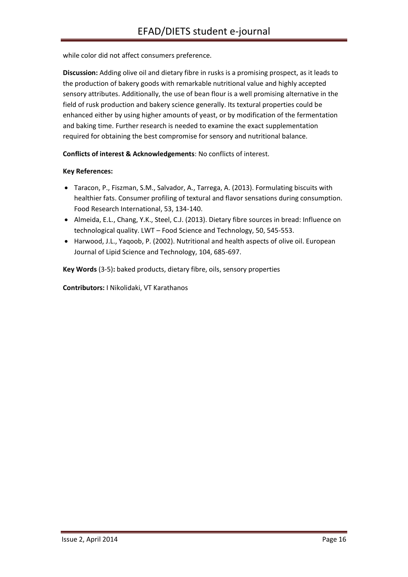while color did not affect consumers preference.

**Discussion:** Adding olive oil and dietary fibre in rusks is a promising prospect, as it leads to the production of bakery goods with remarkable nutritional value and highly accepted sensory attributes. Additionally, the use of bean flour is a well promising alternative in the field of rusk production and bakery science generally. Its textural properties could be enhanced either by using higher amounts of yeast, or by modification of the fermentation and baking time. Further research is needed to examine the exact supplementation required for obtaining the best compromise for sensory and nutritional balance.

**Conflicts of interest & Acknowledgements**: No conflicts of interest.

#### **Key References:**

- Taracon, P., Fiszman, S.M., Salvador, A., Tarrega, A. (2013). Formulating biscuits with healthier fats. Consumer profiling of textural and flavor sensations during consumption. Food Research International, 53, 134-140.
- Almeida, E.L., Chang, Y.K., Steel, C.J. (2013). Dietary fibre sources in bread: Influence on technological quality. LWT – Food Science and Technology, 50, 545-553.
- Harwood, J.L., Yaqoob, P. (2002). Nutritional and health aspects of olive oil. European Journal of Lipid Science and Technology, 104, 685-697.

**Key Words** (3-5)**:** baked products, dietary fibre, oils, sensory properties

**Contributors:** I Nikolidaki, VT Karathanos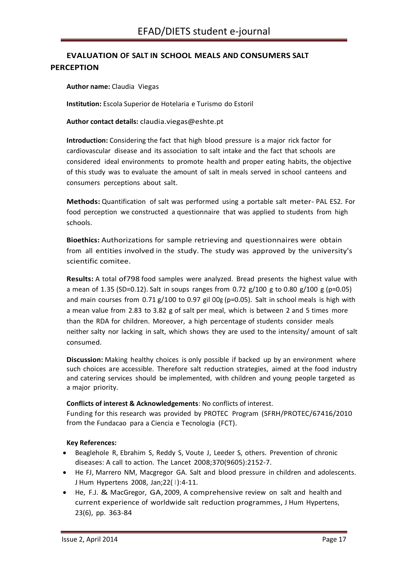# <span id="page-16-0"></span>**EVALUATION OF SALT IN SCHOOL MEALS AND CONSUMERS SALT PERCEPTION**

**Author name:** Claudia Viegas

**Institution:** Escola Superior de Hotelaria e Turismo do Estoril

**Author contact details:** [claudia.viegas@eshte.pt](mailto:claudia.viegas@eshte.pt)

**Introduction:** Considering the fact that high blood pressure is a major rick factor for cardiovascular disease and its association to salt intake and the fact that schools are considered ideal environments to promote health and proper eating habits, the objective of this study was to evaluate the amount of salt in meals served in school canteens and consumers perceptions about salt.

**Methods:** Quantification of salt was performed using a portable salt meter- PAL ES2. For food perception we constructed a questionnaire that was applied to students from high schools.

**Bioethics:** Authorizations for sample retrieving and questionnaires were obtain from all entities involved in the study. The study was approved by the university's scientific comitee.

**Results:** A total of798 food samples were analyzed. Bread presents the highest value with a mean of 1.35 (SD=0.12). Salt in soups ranges from 0.72  $g/100$  g to 0.80  $g/100$  g (p=0.05) and main courses from  $0.71$  g/100 to 0.97 gil OOg (p=0.05). Salt in school meals is high with a mean value from 2.83 to 3.82 g of salt per meal, which is between 2 and 5 times more than the RDA for children. Moreover, a high percentage of students consider meals neither salty nor lacking in salt, which shows they are used to the intensity/ amount of salt consumed.

**Discussion:** Making healthy choices is only possible if backed up by an environment where such choices are accessible. Therefore salt reduction strategies, aimed at the food industry and catering services should be implemented, with children and young people targeted as a major priority.

#### **Conflicts of interest & Acknowledgements**: No conflicts of interest.

Funding for this research was provided by PROTEC Program (SFRH/PROTEC/67416/2010 from the Fundacao para a Ciencia e Tecnologia (FCT).

#### **Key References:**

- Beaglehole R, Ebrahim S, Reddy S, Voute J, Leeder S, others. Prevention of chronic diseases: A call to action. The Lancet 2008;370(9605):2152-7.
- He FJ, Marrero NM, Macgregor GA. Salt and blood pressure in children and adolescents. J Hum Hypertens 2008, Jan; 22(1): 4-11.
- He, F.J. & MacGregor, GA,2009, A comprehensive review on salt and health and current experience of worldwide salt reduction programmes, J Hum Hypertens, 23(6), pp. 363-84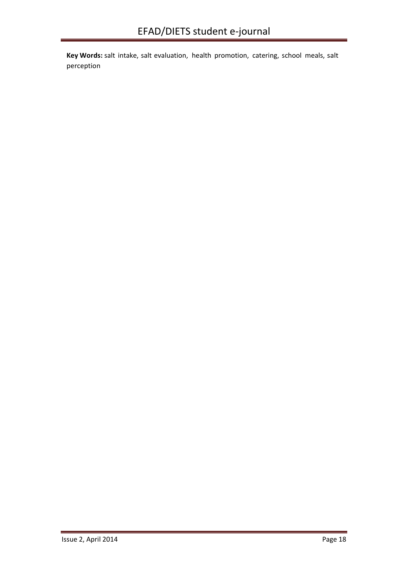**Key Words:** salt intake, salt evaluation, health promotion, catering, school meals, salt perception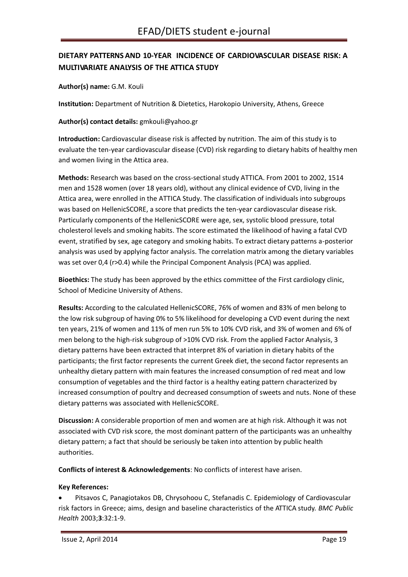# <span id="page-18-0"></span>**DIETARY PATTERNS AND 10-YEAR INCIDENCE OF CARDIOVASCULAR DISEASE RISK: A MULTIVARIATE ANALYSIS OF THE ATTICA STUDY**

**Author(s) name:** G.M. Kouli

**Institution:** Department of Nutrition & Dietetics, Harokopio University, Athens, Greece

**Author(s) contact details:** [gmkouli@yahoo.gr](mailto:gmkouli@yahoo.gr)

**Introduction:** Cardiovascular disease risk is affected by nutrition. Τhe aim of this study is to evaluate the ten-year cardiovascular disease (CVD) risk regarding to dietary habits of healthy men and women living in the Attica area.

**Methods:** Research was based on the cross-sectional study ATTICA. From 2001 to 2002, 1514 men and 1528 women (over 18 years old), without any clinical evidence of CVD, living in the Attica area, were enrolled in the ATTICA Study. The classification of individuals into subgroups was based on HellenicSCORE, a score that predicts the ten-year cardiovascular disease risk. Particularly components of the HellenicSCORE were age, sex, systolic blood pressure, total cholesterol levels and smoking habits. The score estimated the likelihood of having a fatal CVD event, stratified by sex, age category and smoking habits. To extract dietary patterns a-posterior analysis was used by applying factor analysis. The correlation matrix among the dietary variables was set over 0,4 (r>0.4) while the Principal Component Analysis (PCA) was applied.

**Bioethics:** The study has been approved by the ethics committee of the First cardiology clinic, School of Medicine University of Athens.

**Results:** According to the calculated HellenicSCORE, 76% of women and 83% of men belong to the low risk subgroup of having 0% to 5% likelihood for developing a CVD event during the next ten years, 21% of women and 11% of men run 5% to 10% CVD risk, and 3% of women and 6% of men belong to the high-risk subgroup of >10% CVD risk. From the applied Factor Analysis, 3 dietary patterns have been extracted that interpret 8% of variation in dietary habits of the participants; the first factor represents the current Greek diet, the second factor represents an unhealthy dietary pattern with main features the increased consumption of red meat and low consumption of vegetables and the third factor is a healthy eating pattern characterized by increased consumption of poultry and decreased consumption of sweets and nuts. None of these dietary patterns was associated with HellenicSCORE.

**Discussion:** A considerable proportion of men and women are at high risk. Although it was not associated with CVD risk score, the most dominant pattern of the participants was an unhealthy dietary pattern; a fact that should be seriously be taken into attention by public health authorities.

**Conflicts of interest & Acknowledgements**: No conflicts of interest have arisen.

#### **Key References:**

 Pitsavos C, Panagiotakos DB, Chrysohoou C, Stefanadis C. Epidemiology of Cardiovascular risk factors in Greece; aims, design and baseline characteristics of the ATTICA study. *BMC Public Health* 2003;**3**:32:1-9.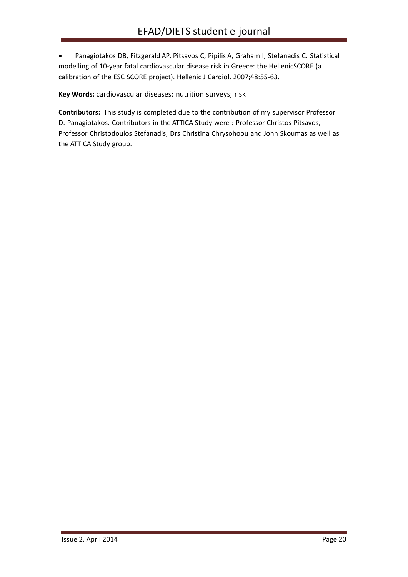Panagiotakos DB, Fitzgerald AP, Pitsavos C, Pipilis A, Graham I, Stefanadis C. Statistical modelling of 10-year fatal cardiovascular disease risk in Greece: the HellenicSCORE (a calibration of the ESC SCORE project). Hellenic J Cardiol. 2007;48:55-63.

**Key Words:** cardiovascular diseases; nutrition surveys; risk

**Contributors:** This study is completed due to the contribution of my supervisor Professor D. Panagiotakos. Contributors in the ATTICA Study were : Professor Christos Pitsavos, Professor Christodoulos Stefanadis, Drs Christina Chrysohoou and John Skoumas as well as the ATTICA Study group.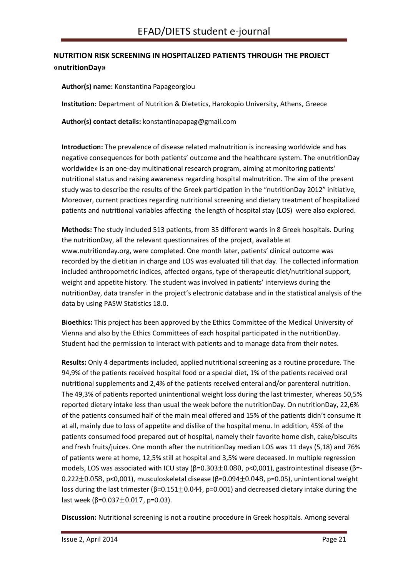# <span id="page-20-0"></span>**NUTRITION RISK SCREENING IN HOSPITALIZED PATIENTS THROUGH THE PROJECT «nutritionDay»**

**Author(s) name:** Konstantina Papageorgiou

**Institution:** Department of Nutrition & Dietetics, Harokopio University, Athens, Greece

**Author(s) contact details:** konstantinapapag@gmail.com

**Introduction:** The prevalence of disease related malnutrition is increasing worldwide and has negative consequences for both patients' outcome and the healthcare system. The «nutritionDay worldwide» is an one-day multinational research program, aiming at monitoring patients' nutritional status and raising awareness regarding hospital malnutrition. The aim of the present study was tο describe the results of the Greek participation in the "nutritionDay 2012" initiative, Moreover, current practices regarding nutritional screening and dietary treatment of hospitalized patients and nutritional variables affecting the length of hospital stay (LOS) were also explored.

**Methods:** The study included 513 patients, from 35 different wards in 8 Greek hospitals. During the nutritionDay, all the relevant questionnaires of the project, available at www.nutritionday.org, were completed. One month later, patients' clinical outcome was recorded by the dietitian in charge and LOS was evaluated till that day. The collected information included anthropometric indices, affected organs, type of therapeutic diet/nutritional support, weight and appetite history. The student was involved in patients' interviews during the nutritionDay, data transfer in the project's electronic database and in the statistical analysis of the data by using PASW Statistics 18.0.

**Bioethics:** This project has been approved by the Ethics Committee of the Medical University of Vienna and also by the Ethics Committees of each hospital participated in the nutritionDay. Student had the permission to interact with patients and to manage data from their notes.

**Results:** Only 4 departments included, applied nutritional screening as a routine procedure. The 94,9% of the patients received hospital food or a special diet, 1% of the patients received oral nutritional supplements and 2,4% of the patients received enteral and/or parenteral nutrition. The 49,3% of patients reported unintentional weight loss during the last trimester, whereas 50,5% reported dietary intake less than usual the week before the nutritionDay. On nutritionDay, 22,6% of the patients consumed half of the main meal offered and 15% of the patients didn't consume it at all, mainly due to loss of appetite and dislike of the hospital menu. In addition, 45% of the patients consumed food prepared out of hospital, namely their favorite home dish, cake/biscuits and fresh fruits/juices. One month after the nutritionDay median LOS was 11 days (5,18) and 76% of patients were at home, 12,5% still at hospital and 3,5% were deceased. In multiple regression models, LOS was associated with ICU stay ( $\beta$ =0.303 $\pm$ 0.080, p<0,001), gastrointestinal disease ( $\beta$ =-0.222 $\pm$ 0.058, p<0,001), musculoskeletal disease (β=0.094 $\pm$ 0.048, p=0.05), unintentional weight loss during the last trimester ( $β=0.151±0.044$ ,  $p=0.001$ ) and decreased dietary intake during the last week ( $\beta$ =0.037 $\pm$ 0.017, p=0.03).

**Discussion:** Nutritional screening is not a routine procedure in Greek hospitals. Among several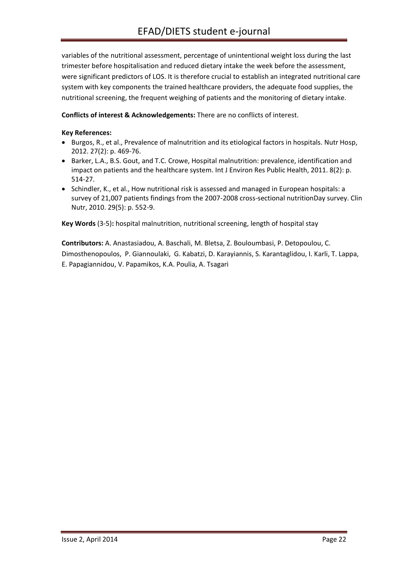variables of the nutritional assessment, percentage of unintentional weight loss during the last trimester before hospitalisation and reduced dietary intake the week before the assessment, were significant predictors of LOS. It is therefore crucial to establish an integrated nutritional care system with key components the trained healthcare providers, the adequate food supplies, the nutritional screening, the frequent weighing of patients and the monitoring of dietary intake.

#### **Conflicts of interest & Acknowledgements:** There are no conflicts of interest.

#### **Key References:**

- Burgos, R., et al., Prevalence of malnutrition and its etiological factors in hospitals. Nutr Hosp, 2012. 27(2): p. 469-76.
- Barker, L.A., B.S. Gout, and T.C. Crowe, Hospital malnutrition: prevalence, identification and impact on patients and the healthcare system. Int J Environ Res Public Health, 2011. 8(2): p. 514-27.
- Schindler, K., et al., How nutritional risk is assessed and managed in European hospitals: a survey of 21,007 patients findings from the 2007-2008 cross-sectional nutritionDay survey. Clin Nutr, 2010. 29(5): p. 552-9.

**Key Words** (3-5)**:** hospital malnutrition, nutritional screening, length of hospital stay

**Contributors:** A. Anastasiadou, A. Baschali, M. Bletsa, Z. Bouloumbasi, P. Detopoulou, C. Dimosthenopoulos, P. Giannoulaki, G. Kabatzi, D. Karayiannis, S. Karantaglidou, I. Karli, T. Lappa, E. Papagiannidou, V. Papamikos, K.A. Poulia, A. Tsagari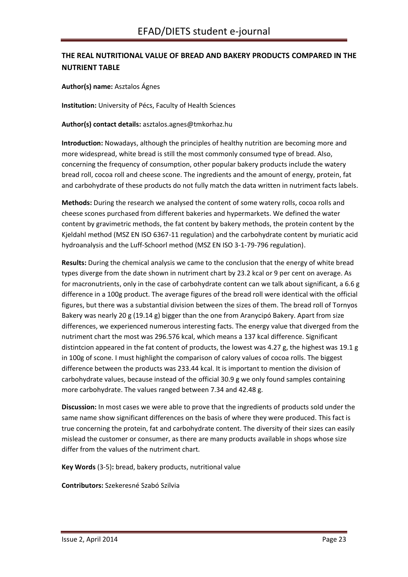# <span id="page-22-0"></span>**THE REAL NUTRITIONAL VALUE OF BREAD AND BAKERY PRODUCTS COMPARED IN THE NUTRIENT TABLE**

**Author(s) name:** Asztalos Ágnes

**Institution:** University of Pécs, Faculty of Health Sciences

**Author(s) contact details:** asztalos.agnes@tmkorhaz.hu

**Introduction:** Nowadays, although the principles of healthy nutrition are becoming more and more widespread, white bread is still the most commonly consumed type of bread. Also, concerning the frequency of consumption, other popular bakery products include the watery bread roll, cocoa roll and cheese scone. The ingredients and the amount of energy, protein, fat and carbohydrate of these products do not fully match the data written in nutriment facts labels.

**Methods:** During the research we analysed the content of some watery rolls, cocoa rolls and cheese scones purchased from different bakeries and hypermarkets. We defined the water content by gravimetric methods, the fat content by bakery methods, the protein content by the Kjeldahl method (MSZ EN ISO 6367-11 regulation) and the carbohydrate content by muriatic acid hydroanalysis and the Luff-Schoorl method (MSZ EN ISO 3-1-79-796 regulation).

**Results:** During the chemical analysis we came to the conclusion that the energy of white bread types diverge from the date shown in nutriment chart by 23.2 kcal or 9 per cent on average. As for macronutrients, only in the case of carbohydrate content can we talk about significant, a 6.6 g difference in a 100g product. The average figures of the bread roll were identical with the official figures, but there was a substantial division between the sizes of them. The bread roll of Tornyos Bakery was nearly 20 g (19.14 g) bigger than the one from Aranycipó Bakery. Apart from size differences, we experienced numerous interesting facts. The energy value that diverged from the nutriment chart the most was 296.576 kcal, which means a 137 kcal difference. Significant distintcion appeared in the fat content of products, the lowest was 4.27 g, the highest was 19.1 g in 100g of scone. I must highlight the comparison of calory values of cocoa rolls. The biggest difference between the products was 233.44 kcal. It is important to mention the division of carbohydrate values, because instead of the official 30.9 g we only found samples containing more carbohydrate. The values ranged between 7.34 and 42.48 g.

**Discussion:** In most cases we were able to prove that the ingredients of products sold under the same name show significant differences on the basis of where they were produced. This fact is true concerning the protein, fat and carbohydrate content. The diversity of their sizes can easily mislead the customer or consumer, as there are many products available in shops whose size differ from the values of the nutriment chart.

**Key Words** (3-5)**:** bread, bakery products, nutritional value

**Contributors:** Szekeresné Szabó Szilvia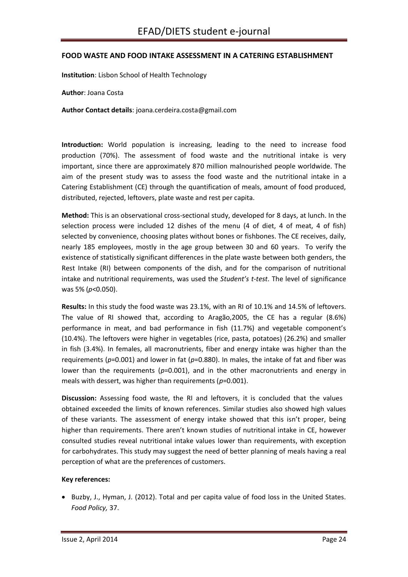#### <span id="page-23-0"></span>**FOOD WASTE AND FOOD INTAKE ASSESSMENT IN A CATERING ESTABLISHMENT**

**Institution**: Lisbon School of Health Technology

**Author**: Joana Costa

**Author Contact details**: joana.cerdeira.costa@gmail.com

**Introduction:** World population is increasing, leading to the need to increase food production (70%). The assessment of food waste and the nutritional intake is very important, since there are approximately 870 million malnourished people worldwide. The aim of the present study was to assess the food waste and the nutritional intake in a Catering Establishment (CE) through the quantification of meals, amount of food produced, distributed, rejected, leftovers, plate waste and rest per capita.

**Method:** This is an observational cross-sectional study, developed for 8 days, at lunch. In the selection process were included 12 dishes of the menu (4 of diet, 4 of meat, 4 of fish) selected by convenience, choosing plates without bones or fishbones. The CE receives, daily, nearly 185 employees, mostly in the age group between 30 and 60 years. To verify the existence of statistically significant differences in the plate waste between both genders, the Rest Intake (RI) between components of the dish, and for the comparison of nutritional intake and nutritional requirements, was used the *Student's t-test*. The level of significance was 5% (*p*<0.050).

**Results:** In this study the food waste was 23.1%, with an RI of 10.1% and 14.5% of leftovers. The value of RI showed that, according to Aragão,2005, the CE has a regular (8.6%) performance in meat, and bad performance in fish (11.7%) and vegetable component's (10.4%). The leftovers were higher in vegetables (rice, pasta, potatoes) (26.2%) and smaller in fish (3.4%). In females, all macronutrients, fiber and energy intake was higher than the requirements (*p*=0.001) and lower in fat (*p*=0.880). In males, the intake of fat and fiber was lower than the requirements ( $p=0.001$ ), and in the other macronutrients and energy in meals with dessert, was higher than requirements (*p*=0.001).

**Discussion:** Assessing food waste, the RI and leftovers, it is concluded that the values obtained exceeded the limits of known references. Similar studies also showed high values of these variants. The assessment of energy intake showed that this isn't proper, being higher than requirements. There aren't known studies of nutritional intake in CE, however consulted studies reveal nutritional intake values lower than requirements, with exception for carbohydrates. This study may suggest the need of better planning of meals having a real perception of what are the preferences of customers.

#### **Key references:**

• Buzby, J., Hyman, J. (2012). Total and per capita value of food loss in the United States. *Food Policy,* 37.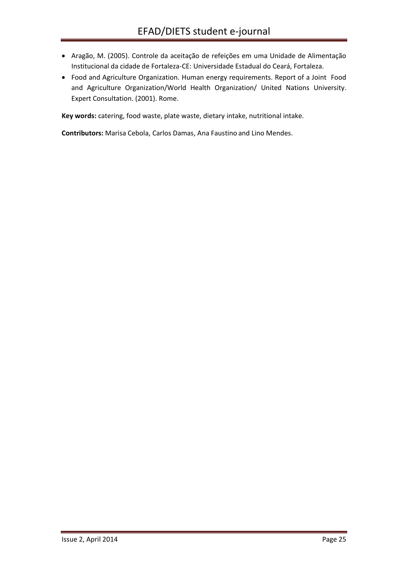- Aragão, M. (2005). Controle da aceitação de refeições em uma Unidade de Alimentação Institucional da cidade de Fortaleza-CE: Universidade Estadual do Ceará, Fortaleza.
- Food and Agriculture Organization. Human energy requirements. Report of a Joint Food and Agriculture Organization/World Health Organization/ United Nations University. Expert Consultation. (2001). Rome.

**Key words:** catering, food waste, plate waste, dietary intake, nutritional intake.

**Contributors:** Marisa Cebola, Carlos Damas, Ana Faustino and Lino Mendes.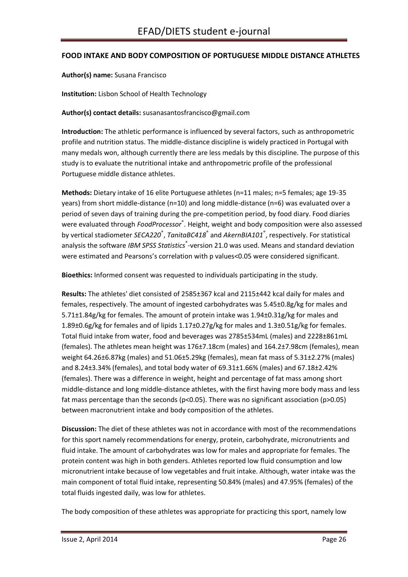#### <span id="page-25-0"></span>**FOOD INTAKE AND BODY COMPOSITION OF PORTUGUESE MIDDLE DISTANCE ATHLETES**

**Author(s) name:** Susana Francisco

**Institution:** Lisbon School of Health Technology

#### **Author(s) contact details:** susanasantosfrancisco@gmail.com

**Introduction:** The athletic performance is influenced by several factors, such as anthropometric profile and nutrition status. The middle-distance discipline is widely practiced in Portugal with many medals won, although currently there are less medals by this discipline. The purpose of this study is to evaluate the nutritional intake and anthropometric profile of the professional Portuguese middle distance athletes.

**Methods:** Dietary intake of 16 elite Portuguese athletes (n=11 males; n=5 females; age 19-35 years) from short middle-distance (n=10) and long middle-distance (n=6) was evaluated over a period of seven days of training during the pre-competition period, by food diary. Food diaries were evaluated through *FoodProcessor*® . Height, weight and body composition were also assessed by vertical stadiometer *SECA220*® , *TanitaBC418*® and *AkernBIA101*® , respectively. For statistical analysis the software *IBM SPSS Statistics*<sup>®</sup>-version 21.0 was used. Means and standard deviation were estimated and Pearsons's correlation with p values<0.05 were considered significant.

**Bioethics:** Informed consent was requested to individuals participating in the study.

**Results:** The athletes' diet consisted of 2585±367 kcal and 2115±442 kcal daily for males and females, respectively. The amount of ingested carbohydrates was 5.45±0.8g/kg for males and 5.71±1.84g/kg for females. The amount of protein intake was 1.94±0.31g/kg for males and 1.89±0.6g/kg for females and of lipids 1.17±0.27g/kg for males and 1.3±0.51g/kg for females. Total fluid intake from water, food and beverages was 2785±534mL (males) and 2228±861mL (females). The athletes mean height was 176±7.18cm (males) and 164.2±7.98cm (females), mean weight 64.26±6.87kg (males) and 51.06±5.29kg (females), mean fat mass of 5.31±2.27% (males) and 8.24±3.34% (females), and total body water of 69.31±1.66% (males) and 67.18±2.42% (females). There was a difference in weight, height and percentage of fat mass among short middle-distance and long middle-distance athletes, with the first having more body mass and less fat mass percentage than the seconds ( $p<0.05$ ). There was no significant association ( $p>0.05$ ) between macronutrient intake and body composition of the athletes.

**Discussion:** The diet of these athletes was not in accordance with most of the recommendations for this sport namely recommendations for energy, protein, carbohydrate, micronutrients and fluid intake. The amount of carbohydrates was low for males and appropriate for females. The protein content was high in both genders. Athletes reported low fluid consumption and low micronutrient intake because of low vegetables and fruit intake. Although, water intake was the main component of total fluid intake, representing 50.84% (males) and 47.95% (females) of the total fluids ingested daily, was low for athletes.

The body composition of these athletes was appropriate for practicing this sport, namely low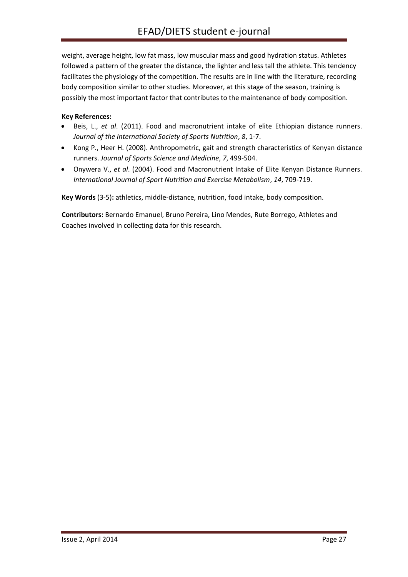weight, average height, low fat mass, low muscular mass and good hydration status. Athletes followed a pattern of the greater the distance, the lighter and less tall the athlete. This tendency facilitates the physiology of the competition. The results are in line with the literature, recording body composition similar to other studies. Moreover, at this stage of the season, training is possibly the most important factor that contributes to the maintenance of body composition.

#### **Key References:**

- Beis, L., *et al*. (2011). Food and macronutrient intake of elite Ethiopian distance runners. *Journal of the International Society of Sports Nutrition*, *8*, 1-7.
- Kong P., Heer H. (2008). Anthropometric, gait and strength characteristics of Kenyan distance runners. *Journal of Sports Science and Medicine*, *7*, 499-504.
- Onywera V., *et al*. (2004). Food and Macronutrient Intake of Elite Kenyan Distance Runners. *International Journal of Sport Nutrition and Exercise Metabolism*, *14*, 709-719.

**Key Words** (3-5)**:** athletics, middle-distance, nutrition, food intake, body composition.

**Contributors:** Bernardo Emanuel, Bruno Pereira, Lino Mendes, Rute Borrego, Athletes and Coaches involved in collecting data for this research.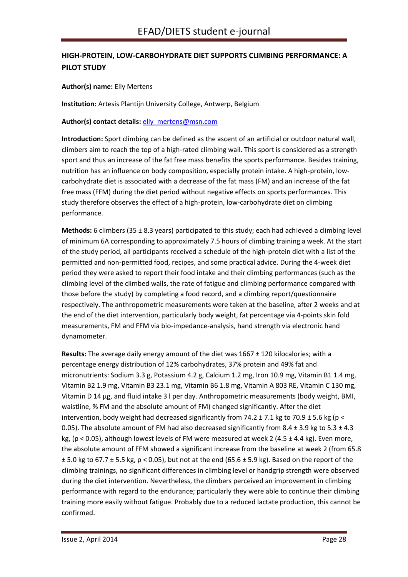# <span id="page-27-0"></span>**HIGH-PROTEIN, LOW-CARBOHYDRATE DIET SUPPORTS CLIMBING PERFORMANCE: A PILOT STUDY**

**Author(s) name:** Elly Mertens

**Institution:** Artesis Plantijn University College, Antwerp, Belgium

**Author(s) contact details:** [elly\\_mertens@msn.com](mailto:elly_mertens@msn.com)

**Introduction:** Sport climbing can be defined as the ascent of an artificial or outdoor natural wall, climbers aim to reach the top of a high-rated climbing wall. This sport is considered as a strength sport and thus an increase of the fat free mass benefits the sports performance. Besides training, nutrition has an influence on body composition, especially protein intake. A high-protein, lowcarbohydrate diet is associated with a decrease of the fat mass (FM) and an increase of the fat free mass (FFM) during the diet period without negative effects on sports performances. This study therefore observes the effect of a high-protein, low-carbohydrate diet on climbing performance.

**Methods:** 6 climbers (35 ± 8.3 years) participated to this study; each had achieved a climbing level of minimum 6A corresponding to approximately 7.5 hours of climbing training a week. At the start of the study period, all participants received a schedule of the high-protein diet with a list of the permitted and non-permitted food, recipes, and some practical advice. During the 4-week diet period they were asked to report their food intake and their climbing performances (such as the climbing level of the climbed walls, the rate of fatigue and climbing performance compared with those before the study) by completing a food record, and a climbing report/questionnaire respectively. The anthropometric measurements were taken at the baseline, after 2 weeks and at the end of the diet intervention, particularly body weight, fat percentage via 4-points skin fold measurements, FM and FFM via bio-impedance-analysis, hand strength via electronic hand dynamometer.

**Results:** The average daily energy amount of the diet was 1667 ± 120 kilocalories; with a percentage energy distribution of 12% carbohydrates, 37% protein and 49% fat and micronutrients: Sodium 3.3 g, Potassium 4.2 g, Calcium 1.2 mg, Iron 10.9 mg, Vitamin B1 1.4 mg, Vitamin B2 1.9 mg, Vitamin B3 23.1 mg, Vitamin B6 1.8 mg, Vitamin A 803 RE, Vitamin C 130 mg, Vitamin D 14 µg, and fluid intake 3 l per day. Anthropometric measurements (body weight, BMI, waistline, % FM and the absolute amount of FM) changed significantly. After the diet intervention, body weight had decreased significantly from 74.2  $\pm$  7.1 kg to 70.9  $\pm$  5.6 kg (p < 0.05). The absolute amount of FM had also decreased significantly from 8.4  $\pm$  3.9 kg to 5.3  $\pm$  4.3 kg, (p < 0.05), although lowest levels of FM were measured at week 2 (4.5  $\pm$  4.4 kg). Even more, the absolute amount of FFM showed a significant increase from the baseline at week 2 (from 65.8  $\pm$  5.0 kg to 67.7  $\pm$  5.5 kg, p < 0.05), but not at the end (65.6  $\pm$  5.9 kg). Based on the report of the climbing trainings, no significant differences in climbing level or handgrip strength were observed during the diet intervention. Nevertheless, the climbers perceived an improvement in climbing performance with regard to the endurance; particularly they were able to continue their climbing training more easily without fatigue. Probably due to a reduced lactate production, this cannot be confirmed.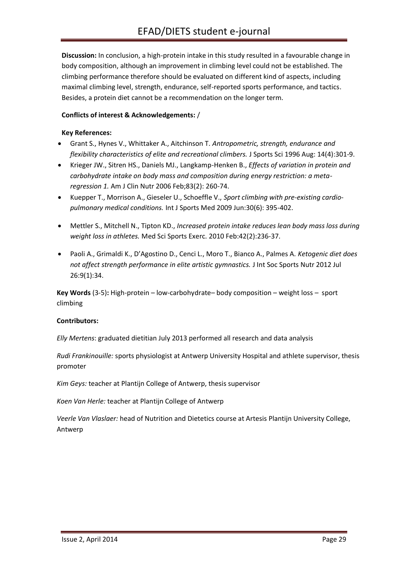**Discussion:** In conclusion, a high-protein intake in this study resulted in a favourable change in body composition, although an improvement in climbing level could not be established. The climbing performance therefore should be evaluated on different kind of aspects, including maximal climbing level, strength, endurance, self-reported sports performance, and tactics. Besides, a protein diet cannot be a recommendation on the longer term.

#### **Conflicts of interest & Acknowledgements:** /

#### **Key References:**

- Grant S., Hynes V., Whittaker A., Aitchinson T. *Antropometric, strength, endurance and flexibility characteristics of elite and recreational climbers.* J Sports Sci 1996 Aug: 14(4):301-9.
- Krieger JW., Sitren HS., Daniels MJ., Langkamp-Henken B., *Effects of variation in protein and carbohydrate intake on body mass and composition during energy restriction: a metaregression 1.* Am J Clin Nutr 2006 Feb;83(2): 260-74.
- Kuepper T., Morrison A., Gieseler U., Schoeffle V., *Sport climbing with pre-existing cardiopulmonary medical conditions.* Int J Sports Med 2009 Jun:30(6): 395-402.
- Mettler S., Mitchell N., Tipton KD., *Increased protein intake reduces lean body mass loss during weight loss in athletes.* Med Sci Sports Exerc. 2010 Feb:42(2):236-37.
- Paoli A., Grimaldi K., D'Agostino D., Cenci L., Moro T., Bianco A., Palmes A. *Ketogenic diet does not affect strength performance in elite artistic gymnastics.* J Int Soc Sports Nutr 2012 Jul 26:9(1):34.

**Key Words** (3-5)**:** High-protein – low-carbohydrate– body composition – weight loss – sport climbing

#### **Contributors:**

*Elly Mertens*: graduated dietitian July 2013 performed all research and data analysis

*Rudi Frankinouille:* sports physiologist at Antwerp University Hospital and athlete supervisor, thesis promoter

*Kim Geys:* teacher at Plantijn College of Antwerp, thesis supervisor

*Koen Van Herle:* teacher at Plantijn College of Antwerp

*Veerle Van Vlaslaer:* head of Nutrition and Dietetics course at Artesis Plantijn University College, Antwerp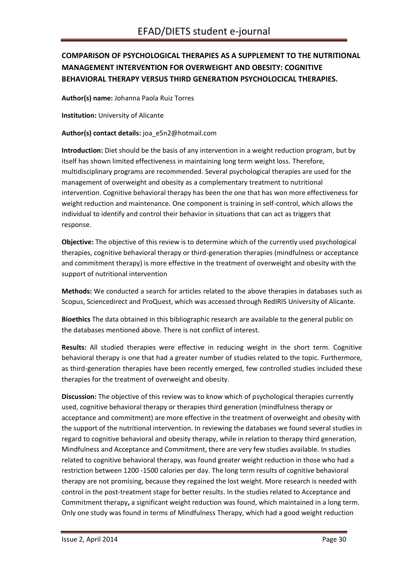# <span id="page-29-0"></span>**COMPARISON OF PSYCHOLOGICAL THERAPIES AS A SUPPLEMENT TO THE NUTRITIONAL MANAGEMENT INTERVENTION FOR OVERWEIGHT AND OBESITY: COGNITIVE BEHAVIORAL THERAPY VERSUS THIRD GENERATION PSYCHOLOCICAL THERAPIES.**

**Author(s) name:** Johanna Paola Ruiz Torres

**Institution:** University of Alicante

**Author(s) contact details:** joa\_e5n2@hotmail.com

**Introduction:** Diet should be the basis of any intervention in a weight reduction program, but by itself has shown limited effectiveness in maintaining long term weight loss. Therefore, multidisciplinary programs are recommended. Several psychological therapies are used for the management of overweight and obesity as a complementary treatment to nutritional intervention. Cognitive behavioral therapy has been the one that has won more effectiveness for weight reduction and maintenance. One component is training in self-control, which allows the individual to identify and control their behavior in situations that can act as triggers that response.

**Objective:** The objective of this review is to determine which of the currently used psychological therapies, cognitive behavioral therapy or third-generation therapies (mindfulness or acceptance and commitment therapy) is more effective in the treatment of overweight and obesity with the support of nutritional intervention

**Methods:** We conducted a search for articles related to the above therapies in databases such as Scopus, Sciencedirect and ProQuest, which was accessed through RedIRIS University of Alicante.

**Bioethics** The data obtained in this bibliographic research are available to the general public on the databases mentioned above. There is not conflict of interest.

**Results:** All studied therapies were effective in reducing weight in the short term. Cognitive behavioral therapy is one that had a greater number of studies related to the topic. Furthermore, as third-generation therapies have been recently emerged, few controlled studies included these therapies for the treatment of overweight and obesity.

**Discussion:** The objective of this review was to know which of psychological therapies currently used, cognitive behavioral therapy or therapies third generation (mindfulness therapy or acceptance and commitment) are more effective in the treatment of overweight and obesity with the support of the nutritional intervention. In reviewing the databases we found several studies in regard to cognitive behavioral and obesity therapy, while in relation to therapy third generation, Mindfulness and Acceptance and Commitment, there are very few studies available. In studies related to cognitive behavioral therapy, was found greater weight reduction in those who had a restriction between 1200 -1500 calories per day. The long term results of cognitive behavioral therapy are not promising, because they regained the lost weight. More research is needed with control in the post-treatment stage for better results. In the studies related to Acceptance and Commitment therapy**,** a significant weight reduction was found, which maintained in a long term. Only one study was found in terms of Mindfulness Therapy, which had a good weight reduction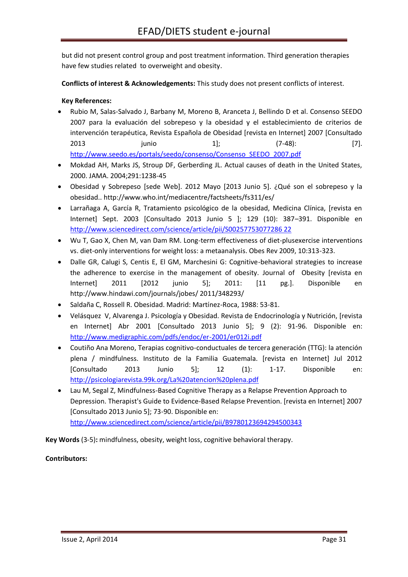but did not present control group and post treatment information. Third generation therapies have few studies related to overweight and obesity.

**Conflicts of interest & Acknowledgements:** This study does not present conflicts of interest.

#### **Key References:**

- Rubio M, Salas-Salvado J, Barbany M, Moreno B, Aranceta J, Bellindo D et al. Consenso SEEDO 2007 para la evaluación del sobrepeso y la obesidad y el establecimiento de criterios de intervención terapéutica, Revista Española de Obesidad [revista en Internet] 2007 [Consultado 2013 junio 1]; (7-48): [7]. [http://www.seedo.es/portals/seedo/consenso/Consenso\\_SEEDO\\_2007.pdf](http://www.seedo.es/portals/seedo/consenso/Consenso_SEEDO_2007.pdf)
- Mokdad AH, Marks JS, Stroup DF, Gerberding JL. Actual causes of death in the United States, 2000. JAMA. 2004;291:1238-45
- Obesidad y Sobrepeso [sede Web]. 2012 Mayo [2013 Junio 5]. ¿Qué son el sobrepeso y la obesidad.. http://www.who.int/mediacentre/factsheets/fs311/es/
- Larrañaga A, García R, Tratamiento psicológico de la obesidad, Medicina Clínica, [revista en Internet] Sept. 2003 [Consultado 2013 Junio 5 ]; 129 (10): 387–391. Disponible en [http://www.sciencedirect.com/science/article/pii/S00257753077286 22](http://www.sciencedirect.com/science/article/pii/S00257753077286%2022)
- Wu T, Gao X, Chen M, van Dam RM. Long-term effectiveness of diet-plusexercise interventions vs. diet-only interventions for weight loss: a metaanalysis. Obes Rev 2009, 10:313-323.
- Dalle GR, Calugi S, Centis E, El GM, Marchesini G: Cognitive-behavioral strategies to increase the adherence to exercise in the management of obesity. Journal of Obesity [revista en Internet] 2011 [2012 junio 5]; 2011: [11 pg.]. Disponible en http://www.hindawi.com/journals/jobes/ 2011/348293/
- Saldaña C, Rossell R. Obesidad. Madrid: Martínez-Roca, 1988: 53-81.
- Velásquez V, Alvarenga J. Psicología y Obesidad. Revista de Endocrinología y Nutrición, [revista en Internet] Abr 2001 [Consultado 2013 Junio 5]; 9 (2): 91-96. Disponible en: <http://www.medigraphic.com/pdfs/endoc/er-2001/er012i.pdf>
- Coutiño Ana Moreno, Terapias cognitivo-conductuales de tercera generación (TTG): la atención plena / mindfulness. Instituto de la Familia Guatemala. [revista en Internet] Jul 2012 [Consultado 2013 Junio 5]; 12 (1): 1-17. Disponible en: <http://psicologiarevista.99k.org/La%20atencion%20plena.pdf>
- Lau M, Segal Z, Mindfulness-Based Cognitive Therapy as a Relapse Prevention Approach to Depression. Therapist's Guide to Evidence-Based Relapse Prevention. [revista en Internet] 2007 [Consultado 2013 Junio 5]; 73-90. Disponible en: <http://www.sciencedirect.com/science/article/pii/B9780123694294500343>

**Key Words** (3-5)**:** mindfulness, obesity, weight loss, cognitive behavioral therapy.

#### **Contributors:**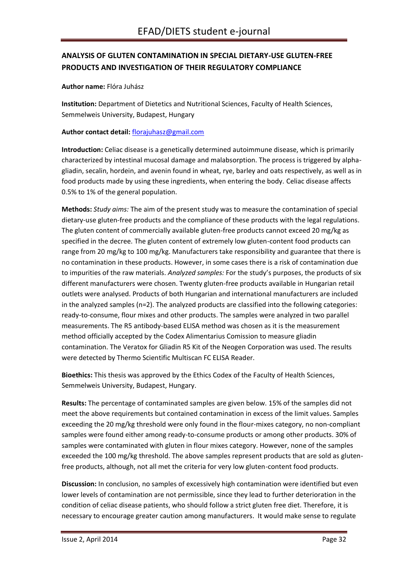# <span id="page-31-0"></span>**ANALYSIS OF GLUTEN CONTAMINATION IN SPECIAL DIETARY-USE GLUTEN-FREE PRODUCTS AND INVESTIGATION OF THEIR REGULATORY COMPLIANCE**

**Author name:** Flóra Juhász

**Institution:** Department of Dietetics and Nutritional Sciences, Faculty of Health Sciences, Semmelweis University, Budapest, Hungary

#### **Author contact detail:** [florajuhasz@gmail.com](mailto:florajuhasz@gmail.com)

**Introduction:** Celiac disease is a genetically determined autoimmune disease, which is primarily characterized by intestinal mucosal damage and malabsorption. The process is triggered by alphagliadin, secalin, hordein, and avenin found in wheat, rye, barley and oats respectively, as well as in food products made by using these ingredients, when entering the body. Celiac disease affects 0.5% to 1% of the general population.

**Methods:** *Study aims:* The aim of the present study was to measure the contamination of special dietary-use gluten-free products and the compliance of these products with the legal regulations. The gluten content of commercially available gluten-free products cannot exceed 20 mg/kg as specified in the decree. The gluten content of extremely low gluten-content food products can range from 20 mg/kg to 100 mg/kg. Manufacturers take responsibility and guarantee that there is no contamination in these products. However, in some cases there is a risk of contamination due to impurities of the raw materials. *Analyzed samples:* For the study's purposes, the products of six different manufacturers were chosen. Twenty gluten-free products available in Hungarian retail outlets were analysed. Products of both Hungarian and international manufacturers are included in the analyzed samples (n=2). The analyzed products are classified into the following categories: ready-to-consume, flour mixes and other products. The samples were analyzed in two parallel measurements. The R5 antibody-based ELISA method was chosen as it is the measurement method officially accepted by the Codex Alimentarius Comission to measure gliadin contamination. The Veratox for Gliadin R5 Kit of the Neogen Corporation was used. The results were detected by Thermo Scientific Multiscan FC ELISA Reader.

**Bioethics:** This thesis was approved by the Ethics Codex of the Faculty of Health Sciences, Semmelweis University, Budapest, Hungary.

**Results:** The percentage of contaminated samples are given below. 15% of the samples did not meet the above requirements but contained contamination in excess of the limit values. Samples exceeding the 20 mg/kg threshold were only found in the flour-mixes category, no non-compliant samples were found either among ready-to-consume products or among other products. 30% of samples were contaminated with gluten in flour mixes category. However, none of the samples exceeded the 100 mg/kg threshold. The above samples represent products that are sold as glutenfree products, although, not all met the criteria for very low gluten-content food products.

**Discussion:** In conclusion, no samples of excessively high contamination were identified but even lower levels of contamination are not permissible, since they lead to further deterioration in the condition of celiac disease patients, who should follow a strict gluten free diet. Therefore, it is necessary to encourage greater caution among manufacturers. It would make sense to regulate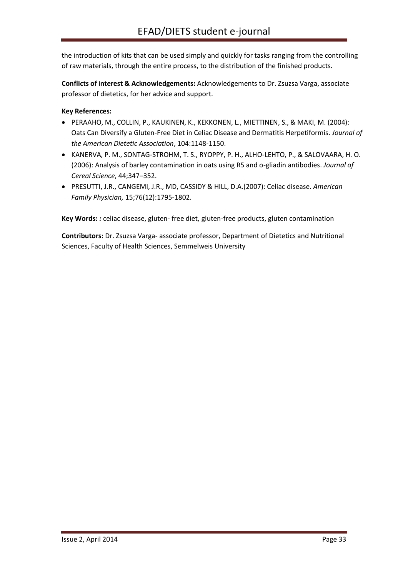the introduction of kits that can be used simply and quickly for tasks ranging from the controlling of raw materials, through the entire process, to the distribution of the finished products.

**Conflicts of interest & Acknowledgements:** Acknowledgements to Dr. Zsuzsa Varga, associate professor of dietetics, for her advice and support.

#### **Key References:**

- PERAAHO, M., COLLIN, P., KAUKINEN, K., KEKKONEN, L., MIETTINEN, S., & MAKI, M. (2004): Oats Can Diversify a Gluten-Free Diet in Celiac Disease and Dermatitis Herpetiformis. *Journal of the American Dietetic Association*, 104:1148-1150.
- KANERVA, P. M., SONTAG-STROHM, T. S., RYOPPY, P. H., ALHO-LEHTO, P., & SALOVAARA, H. O. (2006): Analysis of barley contamination in oats using R5 and o-gliadin antibodies. *Journal of Cereal Science*, 44;347–352.
- PRESUTTI, J.R., CANGEMI, J.R., MD, CASSIDY & HILL, D.A.(2007): Celiac disease. *American Family Physician,* 15;76(12):1795-1802.

**Key Words:** *:* celiac disease, gluten- free diet, gluten-free products, gluten contamination

**Contributors:** Dr. Zsuzsa Varga- associate professor, Department of Dietetics and Nutritional Sciences, Faculty of Health Sciences, Semmelweis University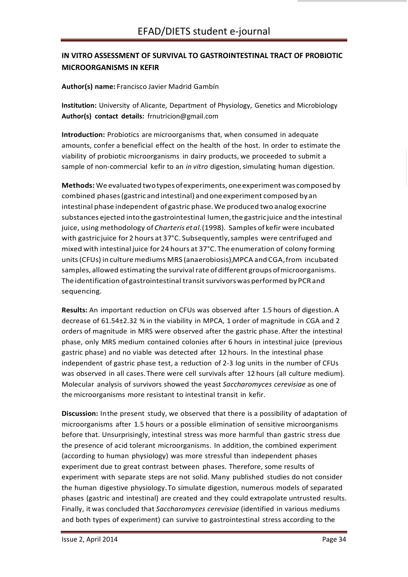# <span id="page-33-0"></span>**IN VITRO ASSESSMENT OF SURVIVAL TO GASTROINTESTINAL TRACT OF PROBIOTIC MICROORGANISMS IN KEFIR**

#### **Author(s) name:** Francisco Javier Madrid Gambín

**Institution:** University of Alicante, Department of Physiology, Genetics and Microbiology **Author(s) contact details:** [frnutricion@gmail.com](mailto:frnutricion@gmail.com)

**Introduction:** Probiotics are microorganisms that, when consumed in adequate amounts, confer a beneficial effect on the health of the host. In order to estimate the viability of probiotic microorganisms in dairy products, we proceeded to submit a sample of non-commercial kefir to an *in vitro* digestion, simulating human digestion.

**Methods:** We evaluated twotypesofexperiments, oneexperiment was composed by combined phases(gastric and intestinal) and oneexperiment composed by an intestinal phase independent of gastric phase.We produced two analog exocrine substances ejected intothe gastrointestinal lumen,the gastricjuice and the intestinal juice, using methodology of *Charteris etal.*(1998). Samples of kefir were incubated with gastricjuice for 2 hours at 37°C. Subsequently,samples were centrifuged and mixed with intestinal juice for 24 hours at 37°C. The enumeration of colony forming units (CFUs) in culture mediums MRS (anaerobiosis),MPCA and CGA, from incubated samples, allowed estimating the survival rate of different groups of microorganisms. The identification of gastrointestinal transit survivors was performed by PCR and sequencing.

**Results:** An important reduction on CFUs was observed after 1.5 hours of digestion.A decrease of 61.54±2.32 % in the viability in MPCA, 1 order of magnitude in CGA and 2 orders of magnitude in MRS were observed after the gastric phase. After the intestinal phase, only MRS medium contained colonies after 6 hours in intestinal juice (previous gastric phase) and no viable was detected after 12 hours. In the intestinal phase independent of gastric phase test, a reduction of 2-3 log units in the number of CFUs was observed in all cases.There were cell survivals after 12 hours (all culture medium). Molecular analysis of survivors showed the yeast *Saccharomyces cerevisiae* as one of the microorganisms more resistant to intestinal transit in kefir.

**Discussion:** Inthe present study, we observed that there is a possibility of adaptation of microorganisms after 1.5 hours or a possible elimination of sensitive microorganisms before that. Unsurprisingly, intestinal stress was more harmful than gastric stress due the presence of acid tolerant microorganisms. In addition, the combined experiment (according to human physiology) was more stressful than independent phases experiment due to great contrast between phases. Therefore, some results of experiment with separate steps are not solid. Many published studies do not consider the human digestive physiology.To simulate digestion, numerous models of separated phases (gastric and intestinal) are created and they could extrapolate untrusted results. Finally, it was concluded that *Saccharomyces cerevisiae* (identified in various mediums and both types of experiment) can survive to gastrointestinal stress according to the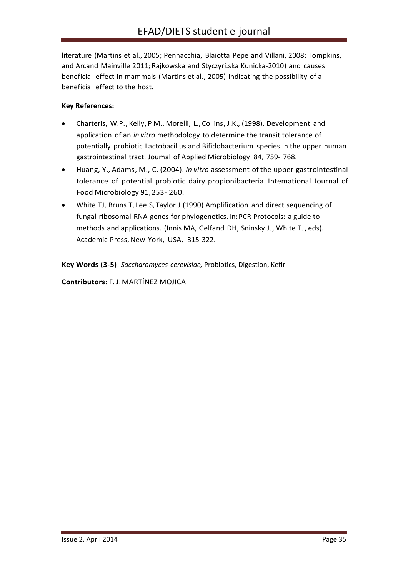literature (Martins et al., 2005; Pennacchia, Blaiotta Pepe and Villani, 2008; Tompkins, and Arcand Mainville 2011; Rajkowska and Styczyrí.ska Kunicka-2010) and causes beneficial effect in mammals (Martins et al., 2005) indicating the possibility of a beneficial effect to the host.

## **Key References:**

- Charteris, W.P., Kelly, P.M., Morelli, L., Collins, J.K., (1998). Development and application of an *in vitro* methodology to determine the transit tolerance of potentially probiotic Lactobacillus and Bifidobacterium species in the upper human gastrointestinal tract. Joumal of Applied Microbiology 84, 759- 768.
- Huang, Y., Adams, M., C. (2004). *In vitro* assessment of the upper gastrointestinal tolerance of potential probiotic dairy propionibacteria. Intemational Journal of Food Microbiology 91,253- 260.
- White TJ, Bruns T, Lee S, Taylor J (1990) Amplification and direct sequencing of fungal ribosomal RNA genes for phylogenetics. In:PCR Protocols: a guide to methods and applications. (Innis MA, Gelfand DH, Sninsky JJ, White TJ, eds). Academic Press, New York, USA, 315-322.

**Key Words (3-5)**: *Saccharomyces cerevisiae,* Probiotics, Digestion, Kefir

**Contributors**: F.J.MARTÍNEZ MOJICA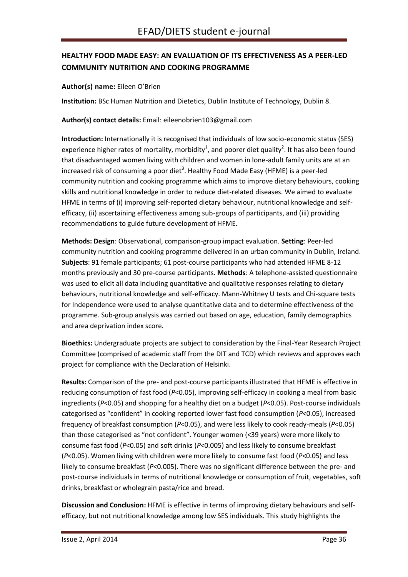# <span id="page-35-0"></span>**HEALTHY FOOD MADE EASY: AN EVALUATION OF ITS EFFECTIVENESS AS A PEER-LED COMMUNITY NUTRITION AND COOKING PROGRAMME**

#### **Author(s) name:** Eileen O'Brien

**Institution:** BSc Human Nutrition and Dietetics, Dublin Institute of Technology, Dublin 8.

**Author(s) contact details:** Email: eileenobrien103@gmail.com

**Introduction:** Internationally it is recognised that individuals of low socio-economic status (SES) experience higher rates of mortality, morbidity<sup>1</sup>, and poorer diet quality<sup>2</sup>. It has also been found that disadvantaged women living with children and women in lone-adult family units are at an increased risk of consuming a poor diet<sup>3</sup>. Healthy Food Made Easy (HFME) is a peer-led community nutrition and cooking programme which aims to improve dietary behaviours, cooking skills and nutritional knowledge in order to reduce diet-related diseases. We aimed to evaluate HFME in terms of (i) improving self-reported dietary behaviour, nutritional knowledge and selfefficacy, (ii) ascertaining effectiveness among sub-groups of participants, and (iii) providing recommendations to guide future development of HFME.

**Methods: Design**: Observational, comparison-group impact evaluation. **Setting**: Peer-led community nutrition and cooking programme delivered in an urban community in Dublin, Ireland. **Subjects**: 91 female participants; 61 post-course participants who had attended HFME 8-12 months previously and 30 pre-course participants. **Methods**: A telephone-assisted questionnaire was used to elicit all data including quantitative and qualitative responses relating to dietary behaviours, nutritional knowledge and self-efficacy. Mann-Whitney U tests and Chi-square tests for Independence were used to analyse quantitative data and to determine effectiveness of the programme. Sub-group analysis was carried out based on age, education, family demographics and area deprivation index score.

**Bioethics:** Undergraduate projects are subject to consideration by the Final-Year Research Project Committee (comprised of academic staff from the DIT and TCD) which reviews and approves each project for compliance with the Declaration of Helsinki.

**Results:** Comparison of the pre- and post-course participants illustrated that HFME is effective in reducing consumption of fast food (*P*<0.05), improving self-efficacy in cooking a meal from basic ingredients (*P*<0.05) and shopping for a healthy diet on a budget (*P*<0.05). Post-course individuals categorised as "confident" in cooking reported lower fast food consumption (*P*<0.05), increased frequency of breakfast consumption (*P*<0.05), and were less likely to cook ready-meals (*P*<0.05) than those categorised as "not confident". Younger women (<39 years) were more likely to consume fast food (*P*<0.05) and soft drinks (*P*<0.005) and less likely to consume breakfast (*P*<0.05). Women living with children were more likely to consume fast food (*P*<0.05) and less likely to consume breakfast (*P*<0.005). There was no significant difference between the pre- and post-course individuals in terms of nutritional knowledge or consumption of fruit, vegetables, soft drinks, breakfast or wholegrain pasta/rice and bread.

**Discussion and Conclusion:** HFME is effective in terms of improving dietary behaviours and selfefficacy, but not nutritional knowledge among low SES individuals. This study highlights the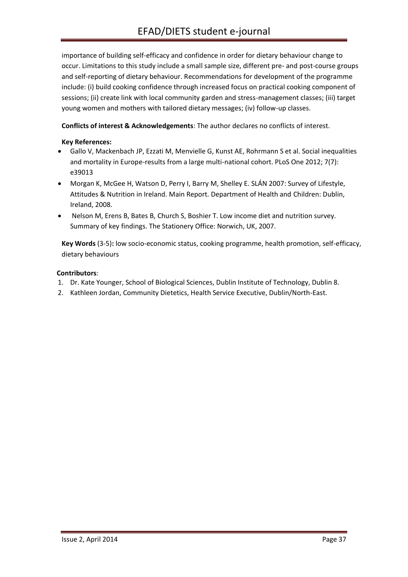importance of building self-efficacy and confidence in order for dietary behaviour change to occur. Limitations to this study include a small sample size, different pre- and post-course groups and self-reporting of dietary behaviour. Recommendations for development of the programme include: (i) build cooking confidence through increased focus on practical cooking component of sessions; (ii) create link with local community garden and stress-management classes; (iii) target young women and mothers with tailored dietary messages; (iv) follow-up classes.

**Conflicts of interest & Acknowledgements**: The author declares no conflicts of interest.

#### **Key References:**

- Gallo V, Mackenbach JP, Ezzati M, Menvielle G, Kunst AE, Rohrmann S et al. Social inequalities and mortality in Europe-results from a large multi-national cohort. PLoS One 2012; 7(7): e39013
- Morgan K, McGee H, Watson D, Perry I, Barry M, Shelley E. SLÁN 2007: Survey of Lifestyle, Attitudes & Nutrition in Ireland. Main Report. Department of Health and Children: Dublin, Ireland, 2008.
- Nelson M, Erens B, Bates B, Church S, Boshier T. Low income diet and nutrition survey. Summary of key findings. The Stationery Office: Norwich, UK, 2007.

**Key Words** (3-5)**:** low socio-economic status, cooking programme, health promotion, self-efficacy, dietary behaviours

#### **Contributors**:

- 1. Dr. Kate Younger, School of Biological Sciences, Dublin Institute of Technology, Dublin 8.
- 2. Kathleen Jordan, Community Dietetics, Health Service Executive, Dublin/North-East.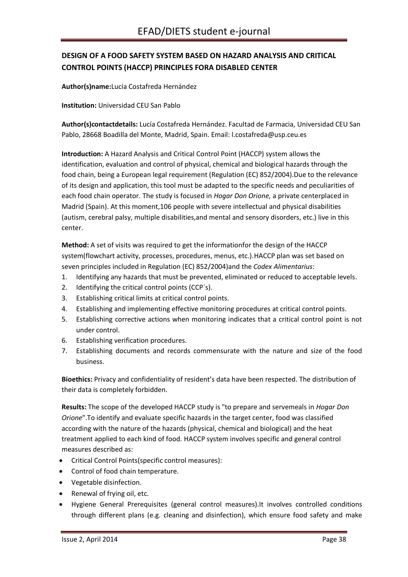# <span id="page-37-0"></span>**DESIGN OF A FOOD SAFETY SYSTEM BASED ON HAZARD ANALYSIS AND CRITICAL CONTROL POINTS (HACCP) PRINCIPLES FORA DISABLED CENTER**

**Author(s)name:**Lucía Costafreda Hernández

**Institution:** Universidad CEU San Pablo

**Author(s)contactdetails:** Lucía Costafreda Hernández. Facultad de Farmacia, Universidad CEU San Pablo, 28668 Boadilla del Monte, Madrid, Spain. Email: l.costafreda@usp.ceu.es

**Introduction:** A Hazard Analysis and Critical Control Point (HACCP) system allows the identification, evaluation and control of physical, chemical and biological hazards through the food chain, being a European legal requirement (Regulation (EC) 852/2004).Due to the relevance of its design and application, this tool must be adapted to the specific needs and peculiarities of each food chain operator. The study is focused in *Hogar Don Orione,* a private centerplaced in Madrid (Spain). At this moment,106 people with severe intellectual and physical disabilities (autism, cerebral palsy, multiple disabilities,and mental and sensory disorders, etc.) live in this center.

**Method:** A set of visits was required to get the informationfor the design of the HACCP system(flowchart activity, processes, procedures, menus, etc.).HACCP plan was set based on seven principles included in Regulation (EC) 852/2004)and the *Codex Alimentarius*:

- 1. Identifying any hazards that must be prevented, eliminated or reduced to acceptable levels.
- 2. Identifying the critical control points (CCP´s).
- 3. Establishing critical limits at critical control points.
- 4. Establishing and implementing effective monitoring procedures at critical control points.
- 5. Establishing corrective actions when monitoring indicates that a critical control point is not under control.
- 6. Establishing verification procedures.
- 7. Establishing documents and records commensurate with the nature and size of the food business.

**Bioethics:** Privacy and confidentiality of resident's data have been respected. The distribution of their data is completely forbidden.

**Results:** The scope of the developed HACCP study is "to prepare and servemeals in *Hogar Don Orione*".To identify and evaluate specific hazards in the target center, food was classified according with the nature of the hazards (physical, chemical and biological) and the heat treatment applied to each kind of food. HACCP system involves specific and general control measures described as:

- Critical Control Points(specific control measures):
- Control of food chain temperature.
- Vegetable disinfection.
- Renewal of frying oil, etc.
- Hygiene General Prerequisites (general control measures).It involves controlled conditions through different plans (e.g. cleaning and disinfection), which ensure food safety and make